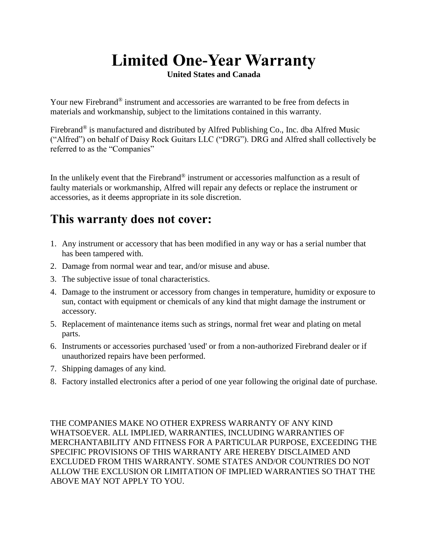## **Limited One-Year Warranty**

**United States and Canada**

Your new Firebrand® instrument and accessories are warranted to be free from defects in materials and workmanship, subject to the limitations contained in this warranty.

Firebrand<sup>®</sup> is manufactured and distributed by Alfred Publishing Co., Inc. dba Alfred Music ("Alfred") on behalf of Daisy Rock Guitars LLC ("DRG"). DRG and Alfred shall collectively be referred to as the "Companies"

In the unlikely event that the Firebrand® instrument or accessories malfunction as a result of faulty materials or workmanship, Alfred will repair any defects or replace the instrument or accessories, as it deems appropriate in its sole discretion.

## **This warranty does not cover:**

- 1. Any instrument or accessory that has been modified in any way or has a serial number that has been tampered with.
- 2. Damage from normal wear and tear, and/or misuse and abuse.
- 3. The subjective issue of tonal characteristics.
- 4. Damage to the instrument or accessory from changes in temperature, humidity or exposure to sun, contact with equipment or chemicals of any kind that might damage the instrument or accessory.
- 5. Replacement of maintenance items such as strings, normal fret wear and plating on metal parts.
- 6. Instruments or accessories purchased 'used' or from a non-authorized Firebrand dealer or if unauthorized repairs have been performed.
- 7. Shipping damages of any kind.
- 8. Factory installed electronics after a period of one year following the original date of purchase.

THE COMPANIES MAKE NO OTHER EXPRESS WARRANTY OF ANY KIND WHATSOEVER. ALL IMPLIED, WARRANTIES, INCLUDING WARRANTIES OF MERCHANTABILITY AND FITNESS FOR A PARTICULAR PURPOSE, EXCEEDING THE SPECIFIC PROVISIONS OF THIS WARRANTY ARE HEREBY DISCLAIMED AND EXCLUDED FROM THIS WARRANTY. SOME STATES AND/OR COUNTRIES DO NOT ALLOW THE EXCLUSION OR LIMITATION OF IMPLIED WARRANTIES SO THAT THE ABOVE MAY NOT APPLY TO YOU.